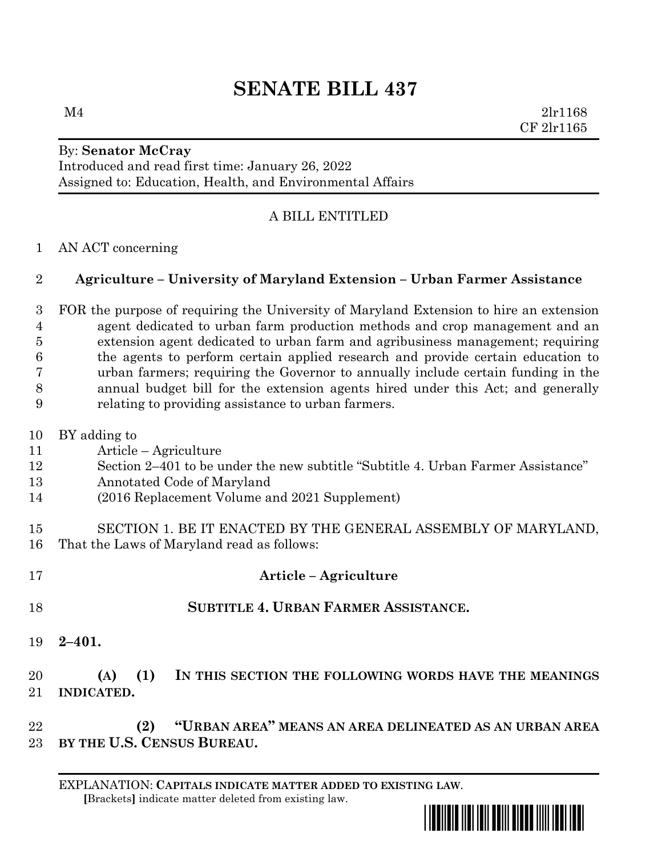# **SENATE BILL 437**

 $M4$  2lr1168 CF 2lr1165

### By: **Senator McCray** Introduced and read first time: January 26, 2022 Assigned to: Education, Health, and Environmental Affairs

## A BILL ENTITLED

#### AN ACT concerning

#### **Agriculture – University of Maryland Extension – Urban Farmer Assistance**

 FOR the purpose of requiring the University of Maryland Extension to hire an extension agent dedicated to urban farm production methods and crop management and an extension agent dedicated to urban farm and agribusiness management; requiring the agents to perform certain applied research and provide certain education to urban farmers; requiring the Governor to annually include certain funding in the annual budget bill for the extension agents hired under this Act; and generally relating to providing assistance to urban farmers.

- BY adding to
- Article Agriculture
- Section 2–401 to be under the new subtitle "Subtitle 4. Urban Farmer Assistance"
- Annotated Code of Maryland
- (2016 Replacement Volume and 2021 Supplement)
- SECTION 1. BE IT ENACTED BY THE GENERAL ASSEMBLY OF MARYLAND, That the Laws of Maryland read as follows:
- **Article – Agriculture SUBTITLE 4. URBAN FARMER ASSISTANCE.**
- **2–401.**

# **(A) (1) IN THIS SECTION THE FOLLOWING WORDS HAVE THE MEANINGS INDICATED.**

 **(2) "URBAN AREA" MEANS AN AREA DELINEATED AS AN URBAN AREA BY THE U.S. CENSUS BUREAU.**

EXPLANATION: **CAPITALS INDICATE MATTER ADDED TO EXISTING LAW**.  **[**Brackets**]** indicate matter deleted from existing law.

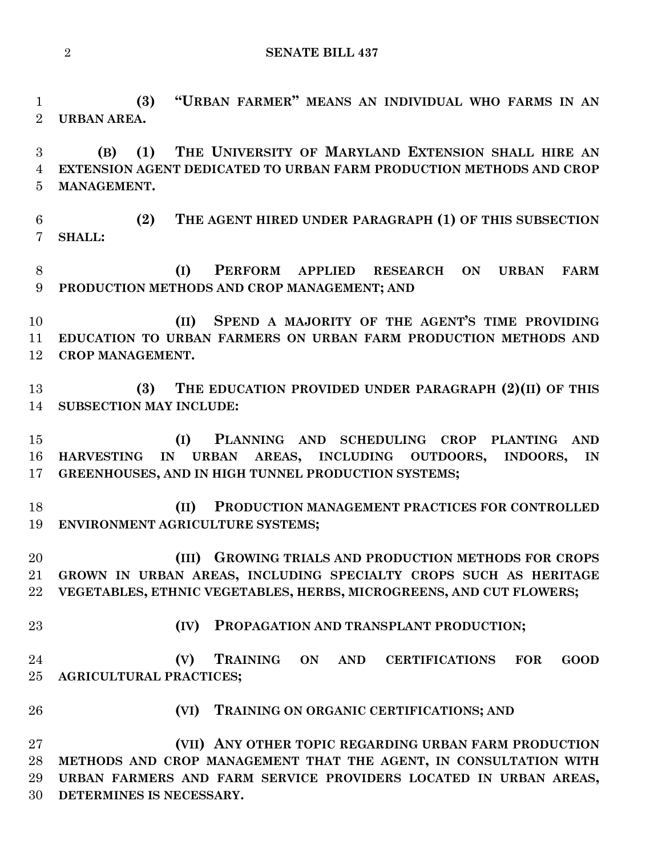**SENATE BILL 437**

 **(3) "URBAN FARMER" MEANS AN INDIVIDUAL WHO FARMS IN AN URBAN AREA.**

 **(B) (1) THE UNIVERSITY OF MARYLAND EXTENSION SHALL HIRE AN EXTENSION AGENT DEDICATED TO URBAN FARM PRODUCTION METHODS AND CROP MANAGEMENT.**

 **(2) THE AGENT HIRED UNDER PARAGRAPH (1) OF THIS SUBSECTION SHALL:**

 **(I) PERFORM APPLIED RESEARCH ON URBAN FARM PRODUCTION METHODS AND CROP MANAGEMENT; AND**

 **(II) SPEND A MAJORITY OF THE AGENT'S TIME PROVIDING EDUCATION TO URBAN FARMERS ON URBAN FARM PRODUCTION METHODS AND CROP MANAGEMENT.**

 **(3) THE EDUCATION PROVIDED UNDER PARAGRAPH (2)(II) OF THIS SUBSECTION MAY INCLUDE:**

 **(I) PLANNING AND SCHEDULING CROP PLANTING AND HARVESTING IN URBAN AREAS, INCLUDING OUTDOORS, INDOORS, IN GREENHOUSES, AND IN HIGH TUNNEL PRODUCTION SYSTEMS;**

 **(II) PRODUCTION MANAGEMENT PRACTICES FOR CONTROLLED ENVIRONMENT AGRICULTURE SYSTEMS;**

 **(III) GROWING TRIALS AND PRODUCTION METHODS FOR CROPS GROWN IN URBAN AREAS, INCLUDING SPECIALTY CROPS SUCH AS HERITAGE VEGETABLES, ETHNIC VEGETABLES, HERBS, MICROGREENS, AND CUT FLOWERS;**

**(IV) PROPAGATION AND TRANSPLANT PRODUCTION;**

 **(V) TRAINING ON AND CERTIFICATIONS FOR GOOD AGRICULTURAL PRACTICES;**

- 
- **(VI) TRAINING ON ORGANIC CERTIFICATIONS; AND**

 **(VII) ANY OTHER TOPIC REGARDING URBAN FARM PRODUCTION METHODS AND CROP MANAGEMENT THAT THE AGENT, IN CONSULTATION WITH URBAN FARMERS AND FARM SERVICE PROVIDERS LOCATED IN URBAN AREAS, DETERMINES IS NECESSARY.**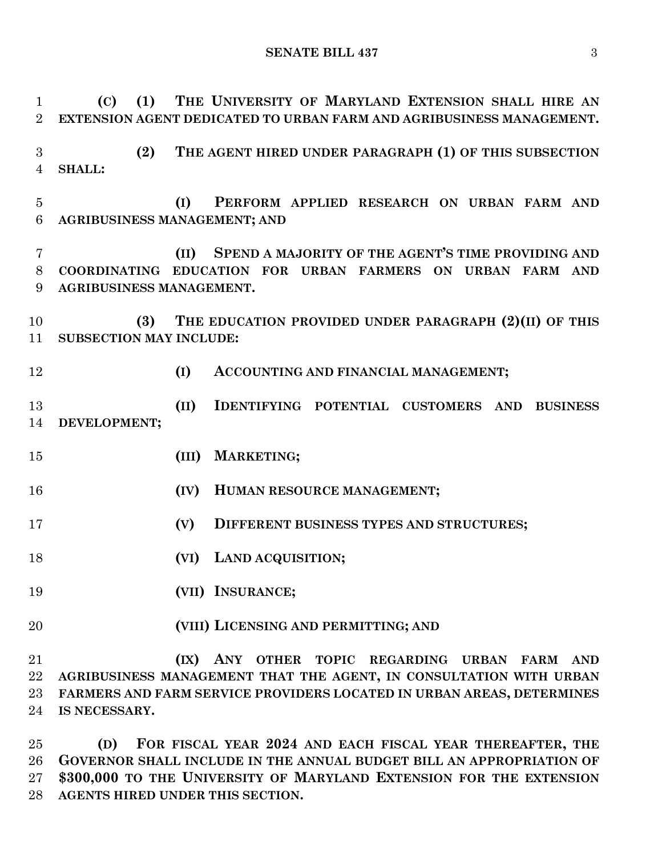**SENATE BILL 437** 3

 **(C) (1) THE UNIVERSITY OF MARYLAND EXTENSION SHALL HIRE AN EXTENSION AGENT DEDICATED TO URBAN FARM AND AGRIBUSINESS MANAGEMENT. (2) THE AGENT HIRED UNDER PARAGRAPH (1) OF THIS SUBSECTION SHALL: (I) PERFORM APPLIED RESEARCH ON URBAN FARM AND AGRIBUSINESS MANAGEMENT; AND (II) SPEND A MAJORITY OF THE AGENT'S TIME PROVIDING AND COORDINATING EDUCATION FOR URBAN FARMERS ON URBAN FARM AND AGRIBUSINESS MANAGEMENT. (3) THE EDUCATION PROVIDED UNDER PARAGRAPH (2)(II) OF THIS SUBSECTION MAY INCLUDE: (I) ACCOUNTING AND FINANCIAL MANAGEMENT; (II) IDENTIFYING POTENTIAL CUSTOMERS AND BUSINESS DEVELOPMENT; (III) MARKETING; (IV) HUMAN RESOURCE MANAGEMENT; (V) DIFFERENT BUSINESS TYPES AND STRUCTURES; (VI) LAND ACQUISITION; (VII) INSURANCE; (VIII) LICENSING AND PERMITTING; AND (IX) ANY OTHER TOPIC REGARDING URBAN FARM AND AGRIBUSINESS MANAGEMENT THAT THE AGENT, IN CONSULTATION WITH URBAN FARMERS AND FARM SERVICE PROVIDERS LOCATED IN URBAN AREAS, DETERMINES IS NECESSARY.**

 **(D) FOR FISCAL YEAR 2024 AND EACH FISCAL YEAR THEREAFTER, THE GOVERNOR SHALL INCLUDE IN THE ANNUAL BUDGET BILL AN APPROPRIATION OF \$300,000 TO THE UNIVERSITY OF MARYLAND EXTENSION FOR THE EXTENSION AGENTS HIRED UNDER THIS SECTION.**